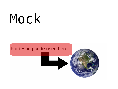# Mock

#### For testing code used here.



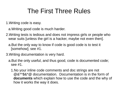# The First Three Rules

1.Writing code is easy.

a.Writing good code is much harder.

- 2.Writing tests is tedious and does not impress girls or people who wear suits [unless the girl is a hacker, maybe not even then].
	- a.But the only way to know if code is good code is to test it [somehow]; see #1.
- 3.Writing documentation is very hard.
	- a.But the only useful, and thus good, code is documented code; see #1.
		- 1.No your inline code comments and doc strings are not @&\*^\$&\*@ documentation. Documentation is in the form of **documents** which explain how to use the code and the why of how it works the way it does.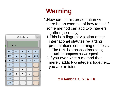

# **Warning**

- 1.Nowhere in this presentation will there be an example of how to test if some method can add two integers together [correctly].
	- 1.This is in flagrant violation of the international statutes regarding presentations concerning unit tests. 1.The U.N. is probably dispatching
		- black helicopters as we speak.
	- 2.If you ever write a method that merely adds two integers together... you are an idiot.

**x = lambda a, b : a + b**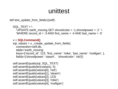# unittest

def test update from fields1(self):

```
SQL TEXT = \sqrt{ }'UPDATE earth_moving SET shovelcolor = :1,shovelpower = :2 ' \backslash'WHERE record id = 0.3 AND first name = 0.4 AND last name = 0.5'
```

```
 x = SQLCommand()
```

```
sql, values = x. create update from fields(
   connection=self.db,
   table='earth_moving',
   keys={'record_id': 123, 'first_name': 'mike', 'last_name': 'mulligan', },
   fields={'shovelpower': 'steam', 'shovelcolor': 'red'})
```

```
self.assertEquals(sql, SQL_TEXT)
 self.assertEquals(len(values), 5)
 self.assertEquals(values[0], 'red')
 self.assertEquals(values[1], 'steam')
 self.assertEquals(values[2], 123)
 self.assertEquals(values[3], 'mike')
 self.assertEquals(values[4], 'mulligan')
```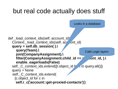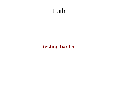# truth

### **testing hard :(**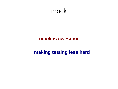## mock

#### **mock is awesome**

#### **making testing less hard**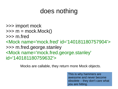# does nothing

>>> import mock  $\gg$  m = mock. Mock() >>> m.fred <Mock name='mock.fred' id='140181180757904'> >>> m.fred.george.stanley <Mock name='mock.fred.george.stanley' id='140181180759632'>

Mocks are callable, they return more Mock objects.

This is why hammers are awesome and never become obsolete – they don't care what you are hitting.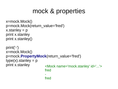# mock & properties

```
x=mock.Mock()
p=mock.Mock(return_value='fred')
x.stanley = pprint x.stanley
print x.stanley()
```

```
print('-')
x=mock.Mock()
p=mock.PropertyMock(return_value='fred')
type(x). stanley = p
print x.stanley <Mock name='mock.stanley' id='...'>
                      fred
                      -
                      fred
```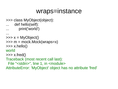## wraps=instance

```
>>> class MyObject(object):
```

```
def hello(self):
```

```
print('world')
```

```
...
```

```
\Rightarrow \Rightarrow x = MyObject()
```

```
>>> m = mock.Mock(wraps=x)
```

```
\gg x.hello()
```
#### world

```
\gg x.fred()
```
Traceback (most recent call last):

```
File "<stdin>", line 1, in <module>
```

```
AttributeError: 'MyObject' object has no attribute 'fred'
```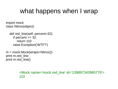# what happens when I wrap

import mock class Nitrox(object):

```
def red line(self, percent=32):
  if percent == 32:
      return 110
   raise Exception('WTF?')
```
 $m = mock.Mock(wraps=Nitrox))$ print m.red line print m.red line()

> <Mock name='mock.red\_line' id='139897343965776'> 110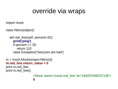# override via wraps

import mock

class Nitrox(object):

```
def red line(self, percent=32):
   print('ping')
  if percent == 32:
      return 110
   raise Exception('Seizures are bad')
```

```
m = mock.Mock(wraps=Nitrox))m.red_line.return_value = 0
print m.red line
print m.red line()
```
<Mock name='mock.red\_line' id='140297648237136'> **0**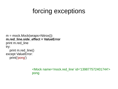# forcing exceptions

```
m = mock.Mock(wraps=Nitrox))m.red_line.side_effect = ValueError
print m.red_line
try:
  print m.red line()
except ValueError:
   print('pong')
```
<Mock name='mock.red\_line' id='139877572401744'> pong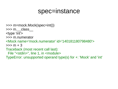## spec=instance

>>> m=mock.Mock(spec=int()) >>> m.\_\_class\_\_ <type 'int'> >>> m.numerator <Mock name='mock.numerator' id='140181180798480'>  $>>> m + 3$ Traceback (most recent call last): File "<stdin>", line 1, in <module> TypeError: unsupported operand type(s) for +: 'Mock' and 'int'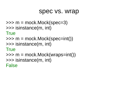## spec vs. wrap

```
\gg m = mock. Mock(spec=3)
>>> isinstance(m, int)
```
**True** 

```
\gg m = mock.Mock(spec=int())
```

```
>>> isinstance(m, int)
```
**True** 

```
\gg m = mock.Mock(wraps=int())
>>> isinstance(m, int)
False
```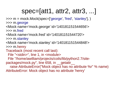# spec=[att1, attr2, attr3, ...]

>>> m = mock.Mock(spec=['george', 'fred', 'stanley'], )

>>> m.george

<Mock name='mock.george' id='140181151544656'> >>> m.fred

<Mock name='mock.fred' id='140181151544720'>

>>> m.stanley

<Mock name='mock.stanley' id='140181151544848'>

>>> m.henry

Traceback (most recent call last):

File "<stdin>", line 1, in <module>

File "/home/awilliam/projects/coils/lib/python2.7/site-

packages/mock.py", line 658, in \_\_getattr\_\_

 raise AttributeError("Mock object has no attribute %r" % name) AttributeError: Mock object has no attribute 'henry'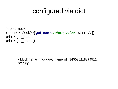# configured via dict

import mock x = mock.Mock(\*\*{'**get\_name**.*return\_value*': 'stanley', }) print x.get\_name print x.get\_name()

> <Mock name='mock.get\_name' id='140036218874512'> stanley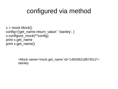# configured via method

 $x = mock.Mock()$ config={'get\_name.return\_value': 'stanley', } x.configure\_mock(\*\*config) print x.get\_name print x.get\_name()

> <Mock name='mock.get\_name' id='140036218874512'> stanley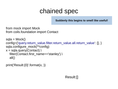# chained spec

**Suddenly this begins to smell like useful!**

from mock import Mock from coils.foundation import Contact

 $sqla = Mock()$ config={'query.return\_value.filter.return\_value.all.return\_value': [], } sqla.configure\_mock(\*\*config)  $x =$  sqla.query(Contact). filter(Contact.first\_name=='stanley').\  $all()$ 

print('Result:{0}'.format(x, ))

#### Result:[]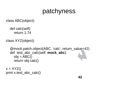# patchyness

class ABC(object):

 def calc(self): return 1.74

class XYZ(object):

 @mock.patch.object(ABC, 'calc', return\_value=42) def test\_abc\_calc(self, **mock\_abc**):  $obj = ABC()$ return obj.calc()

 $x = XYZ()$ print x.test\_abc\_calc()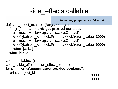# side effects callable

**Full-monty programmatic fake-out!** 

def side effect example (\* args, \* \* kargs): if args[0] == '**account::get-proxied-contacts**': a = mock.Mock(wraps=coils.core.Contact) *type(a)*.object\_id=mock.PropertyMock(return\_value=8999) b = mock.Mock(wraps=coils.core.Contact) *type(b)*.object\_id=mock.PropertyMock(return\_value=9999) return [a, b, ] return None

```
ctx = mock.Mock()ctx.r c.\simeq c.side effect = side\_effect\_examplefor c in ctx.r_c('account::get-proxied-contacts'):
  print c.object_id 8999
```
9999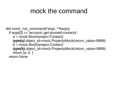# mock the command

def mock\_run\_command(*\*args*, *\*\*kargs*): if args[0] == 'account::get-proxied-contacts': a = mock.Mock(wraps=Contact) *type(a)*.object\_id=mock.PropertyMock(return\_value=8999) b = mock.Mock(wraps=Contact) *type(b)*.object\_id=mock.PropertyMock(return\_value=9999) return [a, b, ] return None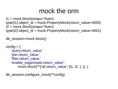# mock the orm

```
t1 = mock.Mock(wraps = Team)type(t1).object id = mock.PropertyMock(return value=4000)t2 = mock.Mock(wraps=Team)
type(t2).object id = mock.PropertyMock(return value=4001)
```
db\_session=mock.Mock()

```
config = {
   'query.return_value.'
   'join.return_value.'
   'filter.return_value.'
   'enable eagerloads.return value':
         mock.Mock(**{'all.return_value': [t1, t2, ], }), }
```
db\_session.configure\_mock(\*\*config)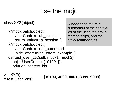# use the mojo

class XYZ(object):

 @mock.patch.object( UserContext, 'db\_session', return value=db session, ) @mock.patch.object( UserContext, 'run\_command', side effect=side effect example, ) def test\_user\_ctx(self, mock1, mock2):  $obj = UserContext(10100, \{\})$ print obj.context\_ids

Supposed to return a summation of the context ids of the user, the group memberships, and the proxy relationships.

 $z = XYZ()$ 

z.test\_user\_ctx() **[10100, 4000, 4001, 8999, 9999]**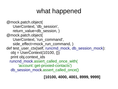# what happened

 @mock.patch.object( UserContext, 'db\_session', return value=db session, ) @mock.patch.object( UserContext, 'run\_command', side effect=mock run command, ) def test user ctx(self, runcmd mock, db session mock):  $obj = UserContext(10100, \{\})$  print obj.context\_ids runcnd mock.assert called once\_with( 'account::get-proxied-contacts') db session mock assert called once()

**[10100, 4000, 4001, 8999, 9999]**